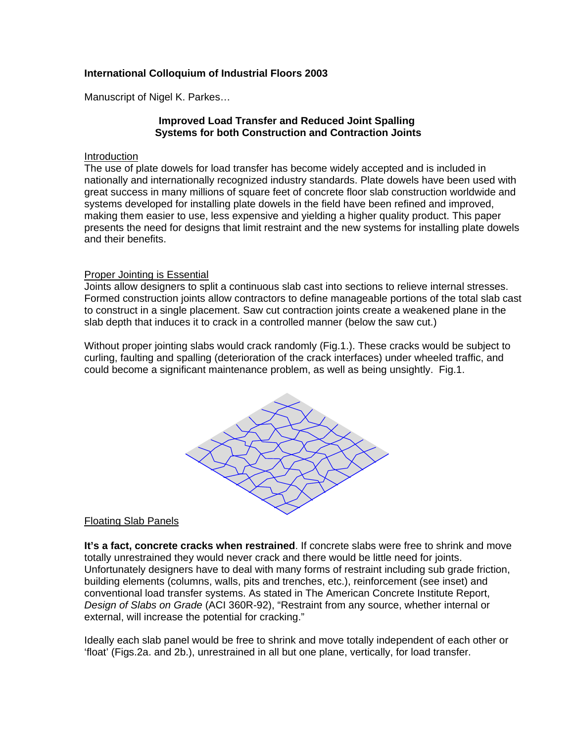# **International Colloquium of Industrial Floors 2003**

Manuscript of Nigel K. Parkes…

# **Improved Load Transfer and Reduced Joint Spalling Systems for both Construction and Contraction Joints**

#### Introduction

The use of plate dowels for load transfer has become widely accepted and is included in nationally and internationally recognized industry standards. Plate dowels have been used with great success in many millions of square feet of concrete floor slab construction worldwide and systems developed for installing plate dowels in the field have been refined and improved, making them easier to use, less expensive and yielding a higher quality product. This paper presents the need for designs that limit restraint and the new systems for installing plate dowels and their benefits.

## Proper Jointing is Essential

Joints allow designers to split a continuous slab cast into sections to relieve internal stresses. Formed construction joints allow contractors to define manageable portions of the total slab cast to construct in a single placement. Saw cut contraction joints create a weakened plane in the slab depth that induces it to crack in a controlled manner (below the saw cut.)

Without proper jointing slabs would crack randomly (Fig.1.). These cracks would be subject to curling, faulting and spalling (deterioration of the crack interfaces) under wheeled traffic, and could become a significant maintenance problem, as well as being unsightly. Fig.1.



## Floating Slab Panels

**It's a fact, concrete cracks when restrained**. If concrete slabs were free to shrink and move totally unrestrained they would never crack and there would be little need for joints. Unfortunately designers have to deal with many forms of restraint including sub grade friction, building elements (columns, walls, pits and trenches, etc.), reinforcement (see inset) and conventional load transfer systems. As stated in The American Concrete Institute Report, *Design of Slabs on Grade* (ACI 360R-92), "Restraint from any source, whether internal or external, will increase the potential for cracking."

Ideally each slab panel would be free to shrink and move totally independent of each other or 'float' (Figs.2a. and 2b.), unrestrained in all but one plane, vertically, for load transfer.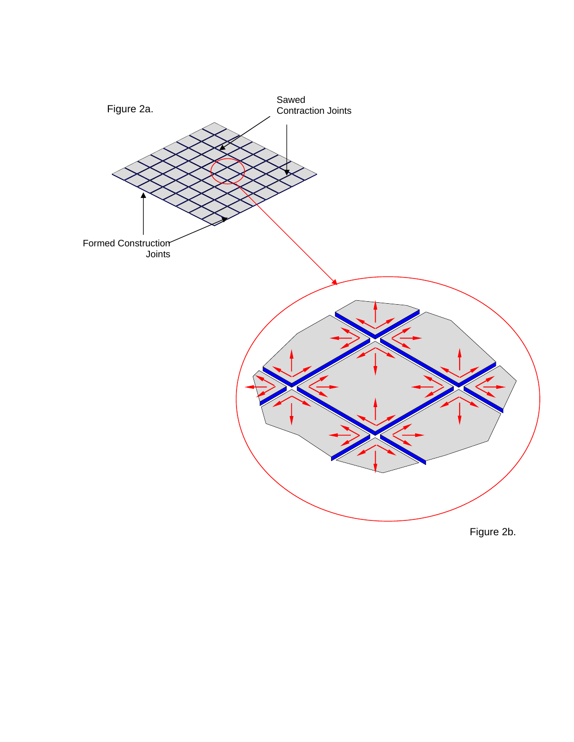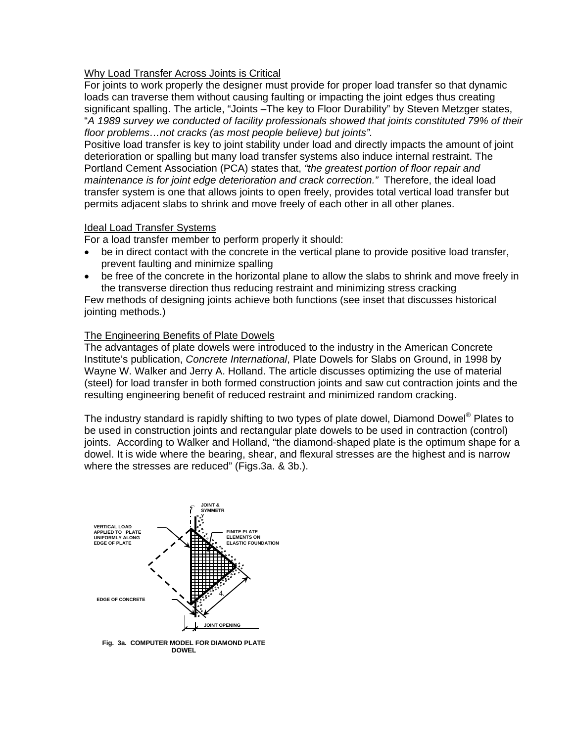# Why Load Transfer Across Joints is Critical

For joints to work properly the designer must provide for proper load transfer so that dynamic loads can traverse them without causing faulting or impacting the joint edges thus creating significant spalling. The article, "Joints –The key to Floor Durability" by Steven Metzger states, "*A 1989 survey we conducted of facility professionals showed that joints constituted 79% of their floor problems…not cracks (as most people believe) but joints".* 

Positive load transfer is key to joint stability under load and directly impacts the amount of joint deterioration or spalling but many load transfer systems also induce internal restraint. The Portland Cement Association (PCA) states that, *"the greatest portion of floor repair and maintenance is for joint edge deterioration and crack correction."* Therefore, the ideal load transfer system is one that allows joints to open freely, provides total vertical load transfer but permits adjacent slabs to shrink and move freely of each other in all other planes.

# Ideal Load Transfer Systems

For a load transfer member to perform properly it should:

- be in direct contact with the concrete in the vertical plane to provide positive load transfer, prevent faulting and minimize spalling
- be free of the concrete in the horizontal plane to allow the slabs to shrink and move freely in the transverse direction thus reducing restraint and minimizing stress cracking

Few methods of designing joints achieve both functions (see inset that discusses historical jointing methods.)

# The Engineering Benefits of Plate Dowels

The advantages of plate dowels were introduced to the industry in the American Concrete Institute's publication, *Concrete International*, Plate Dowels for Slabs on Ground, in 1998 by Wayne W. Walker and Jerry A. Holland. The article discusses optimizing the use of material (steel) for load transfer in both formed construction joints and saw cut contraction joints and the resulting engineering benefit of reduced restraint and minimized random cracking.

The industry standard is rapidly shifting to two types of plate dowel, Diamond Dowel<sup>®</sup> Plates to be used in construction joints and rectangular plate dowels to be used in contraction (control) joints. According to Walker and Holland, "the diamond-shaped plate is the optimum shape for a dowel. It is wide where the bearing, shear, and flexural stresses are the highest and is narrow where the stresses are reduced" (Figs.3a. & 3b.).



**Fig. 3a. COMPUTER MODEL FOR DIAMOND PLATE DOWEL**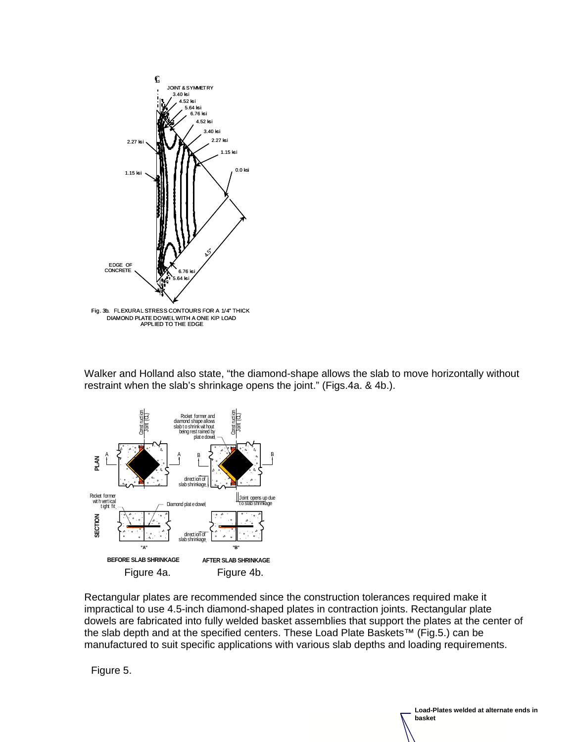

Walker and Holland also state, "the diamond-shape allows the slab to move horizontally without restraint when the slab's shrinkage opens the joint." (Figs.4a. & 4b.).



Rectangular plates are recommended since the construction tolerances required make it impractical to use 4.5-inch diamond-shaped plates in contraction joints. Rectangular plate dowels are fabricated into fully welded basket assemblies that support the plates at the center of the slab depth and at the specified centers. These Load Plate Baskets™ (Fig.5.) can be manufactured to suit specific applications with various slab depths and loading requirements.

**Load-Plates welded at alternate ends in** 

**basket**

Figure 5.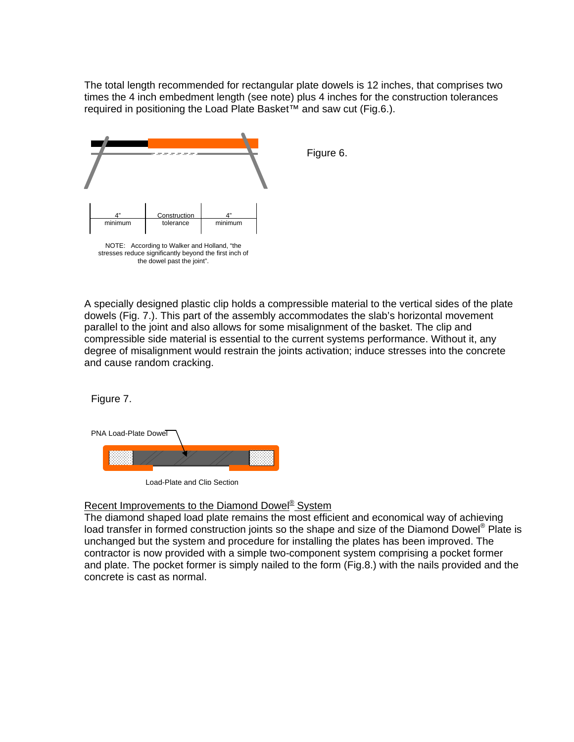The total length recommended for rectangular plate dowels is 12 inches, that comprises two times the 4 inch embedment length (see note) plus 4 inches for the construction tolerances required in positioning the Load Plate Basket™ and saw cut (Fig.6.).



A specially designed plastic clip holds a compressible material to the vertical sides of the plate dowels (Fig. 7.). This part of the assembly accommodates the slab's horizontal movement parallel to the joint and also allows for some misalignment of the basket. The clip and compressible side material is essential to the current systems performance. Without it, any degree of misalignment would restrain the joints activation; induce stresses into the concrete and cause random cracking.

Figure 7.



Load-Plate and Clip Section

Recent Improvements to the Diamond Dowel<sup>®</sup> System

The diamond shaped load plate remains the most efficient and economical way of achieving load transfer in formed construction joints so the shape and size of the Diamond Dowel® Plate is unchanged but the system and procedure for installing the plates has been improved. The contractor is now provided with a simple two-component system comprising a pocket former and plate. The pocket former is simply nailed to the form (Fig.8.) with the nails provided and the concrete is cast as normal.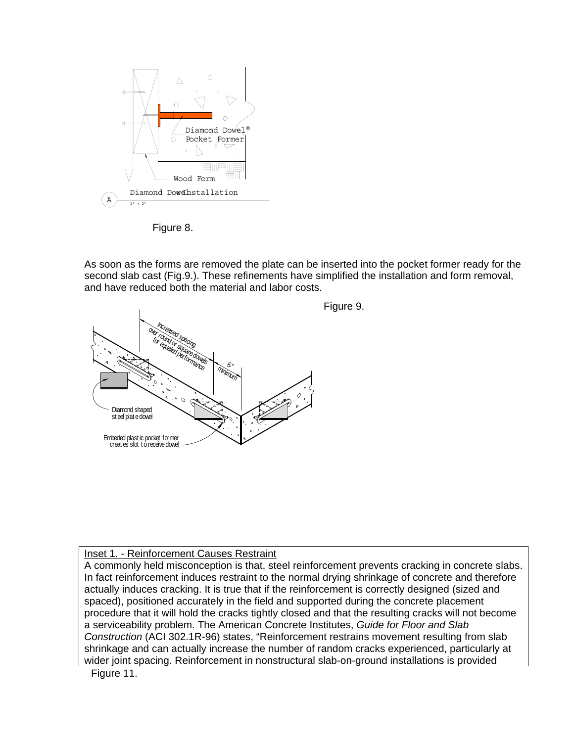

Figure 8.

As soon as the forms are removed the plate can be inserted into the pocket former ready for the second slab cast (Fig.9.). These refinements have simplified the installation and form removal, and have reduced both the material and labor costs.



Inset 1. - Reinforcement Causes Restraint

A commonly held misconception is that, steel reinforcement prevents cracking in concrete slabs. In fact reinforcement induces restraint to the normal drying shrinkage of concrete and therefore actually induces cracking. It is true that if the reinforcement is correctly designed (sized and spaced), positioned accurately in the field and supported during the concrete placement procedure that it will hold the cracks tightly closed and that the resulting cracks will not become a serviceability problem. The American Concrete Institutes, *Guide for Floor and Slab Construction* (ACI 302.1R-96) states, "Reinforcement restrains movement resulting from slab shrinkage and can actually increase the number of random cracks experienced, particularly at wider joint spacing. Reinforcement in nonstructural slab-on-ground installations is provided Figure 11.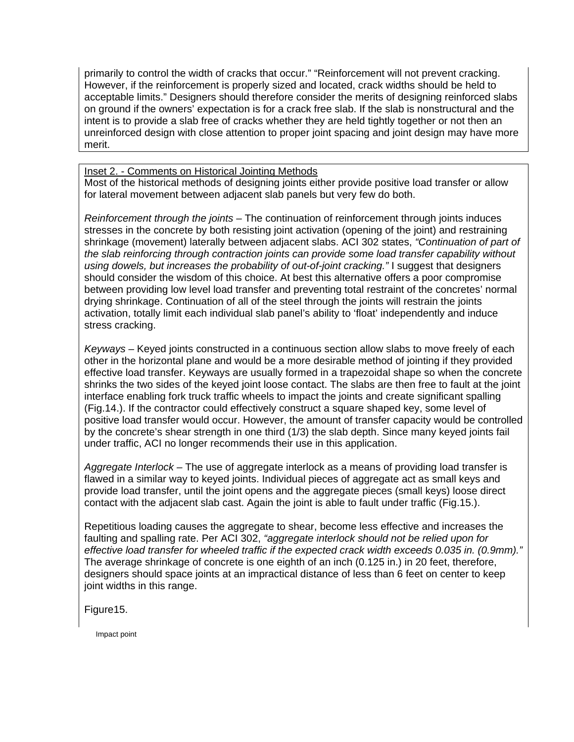primarily to control the width of cracks that occur." "Reinforcement will not prevent cracking. However, if the reinforcement is properly sized and located, crack widths should be held to acceptable limits." Designers should therefore consider the merits of designing reinforced slabs on ground if the owners' expectation is for a crack free slab. If the slab is nonstructural and the intent is to provide a slab free of cracks whether they are held tightly together or not then an unreinforced design with close attention to proper joint spacing and joint design may have more merit.

# Inset 2. - Comments on Historical Jointing Methods

Most of the historical methods of designing joints either provide positive load transfer or allow for lateral movement between adjacent slab panels but very few do both.

*Reinforcement through the joints –* The continuation of reinforcement through joints induces stresses in the concrete by both resisting joint activation (opening of the joint) and restraining shrinkage (movement) laterally between adjacent slabs. ACI 302 states, *"Continuation of part of the slab reinforcing through contraction joints can provide some load transfer capability without using dowels, but increases the probability of out-of-joint cracking."* I suggest that designers should consider the wisdom of this choice. At best this alternative offers a poor compromise between providing low level load transfer and preventing total restraint of the concretes' normal drying shrinkage. Continuation of all of the steel through the joints will restrain the joints activation, totally limit each individual slab panel's ability to 'float' independently and induce stress cracking.

*Keyways –* Keyed joints constructed in a continuous section allow slabs to move freely of each other in the horizontal plane and would be a more desirable method of jointing if they provided effective load transfer. Keyways are usually formed in a trapezoidal shape so when the concrete shrinks the two sides of the keyed joint loose contact. The slabs are then free to fault at the joint interface enabling fork truck traffic wheels to impact the joints and create significant spalling (Fig.14.). If the contractor could effectively construct a square shaped key, some level of positive load transfer would occur. However, the amount of transfer capacity would be controlled by the concrete's shear strength in one third (1/3) the slab depth. Since many keyed joints fail under traffic, ACI no longer recommends their use in this application.

*Aggregate Interlock –* The use of aggregate interlock as a means of providing load transfer is flawed in a similar way to keyed joints. Individual pieces of aggregate act as small keys and provide load transfer, until the joint opens and the aggregate pieces (small keys) loose direct contact with the adjacent slab cast. Again the joint is able to fault under traffic (Fig.15.).

Repetitious loading causes the aggregate to shear, become less effective and increases the faulting and spalling rate. Per ACI 302, *"aggregate interlock should not be relied upon for effective load transfer for wheeled traffic if the expected crack width exceeds 0.035 in. (0.9mm)."*  The average shrinkage of concrete is one eighth of an inch (0.125 in.) in 20 feet, therefore, designers should space joints at an impractical distance of less than 6 feet on center to keep joint widths in this range.

Figure15.

Impact point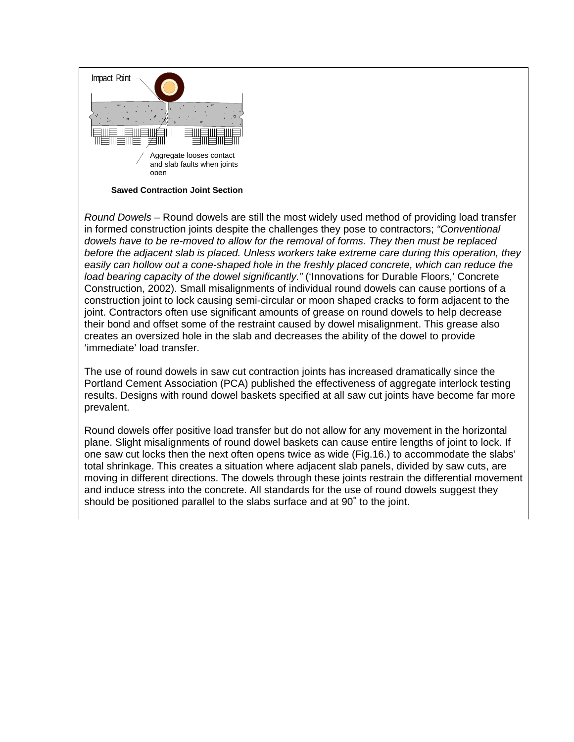

**Sawed Contraction Joint Section** 

*Round Dowels* – Round dowels are still the most widely used method of providing load transfer in formed construction joints despite the challenges they pose to contractors; *"Conventional dowels have to be re-moved to allow for the removal of forms. They then must be replaced before the adjacent slab is placed. Unless workers take extreme care during this operation, they easily can hollow out a cone-shaped hole in the freshly placed concrete, which can reduce the load bearing capacity of the dowel significantly."* ('Innovations for Durable Floors,' Concrete Construction, 2002). Small misalignments of individual round dowels can cause portions of a construction joint to lock causing semi-circular or moon shaped cracks to form adjacent to the joint. Contractors often use significant amounts of grease on round dowels to help decrease their bond and offset some of the restraint caused by dowel misalignment. This grease also creates an oversized hole in the slab and decreases the ability of the dowel to provide 'immediate' load transfer.

The use of round dowels in saw cut contraction joints has increased dramatically since the Portland Cement Association (PCA) published the effectiveness of aggregate interlock testing results. Designs with round dowel baskets specified at all saw cut joints have become far more prevalent.

Round dowels offer positive load transfer but do not allow for any movement in the horizontal plane. Slight misalignments of round dowel baskets can cause entire lengths of joint to lock. If one saw cut locks then the next often opens twice as wide (Fig.16.) to accommodate the slabs' total shrinkage. This creates a situation where adjacent slab panels, divided by saw cuts, are moving in different directions. The dowels through these joints restrain the differential movement and induce stress into the concrete. All standards for the use of round dowels suggest they should be positioned parallel to the slabs surface and at 90˚ to the joint.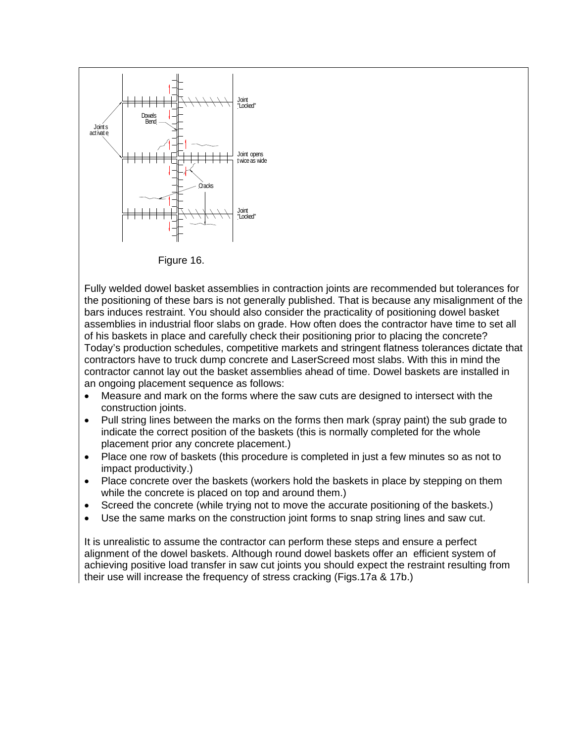

Figure 16.

Fully welded dowel basket assemblies in contraction joints are recommended but tolerances for the positioning of these bars is not generally published. That is because any misalignment of the bars induces restraint. You should also consider the practicality of positioning dowel basket assemblies in industrial floor slabs on grade. How often does the contractor have time to set all of his baskets in place and carefully check their positioning prior to placing the concrete? Today's production schedules, competitive markets and stringent flatness tolerances dictate that contractors have to truck dump concrete and LaserScreed most slabs. With this in mind the contractor cannot lay out the basket assemblies ahead of time. Dowel baskets are installed in an ongoing placement sequence as follows:

- Measure and mark on the forms where the saw cuts are designed to intersect with the construction joints.
- Pull string lines between the marks on the forms then mark (spray paint) the sub grade to indicate the correct position of the baskets (this is normally completed for the whole placement prior any concrete placement.)
- Place one row of baskets (this procedure is completed in just a few minutes so as not to impact productivity.)
- Place concrete over the baskets (workers hold the baskets in place by stepping on them while the concrete is placed on top and around them.)
- Screed the concrete (while trying not to move the accurate positioning of the baskets.)
- Use the same marks on the construction joint forms to snap string lines and saw cut.

It is unrealistic to assume the contractor can perform these steps and ensure a perfect alignment of the dowel baskets. Although round dowel baskets offer an efficient system of achieving positive load transfer in saw cut joints you should expect the restraint resulting from their use will increase the frequency of stress cracking (Figs.17a & 17b.)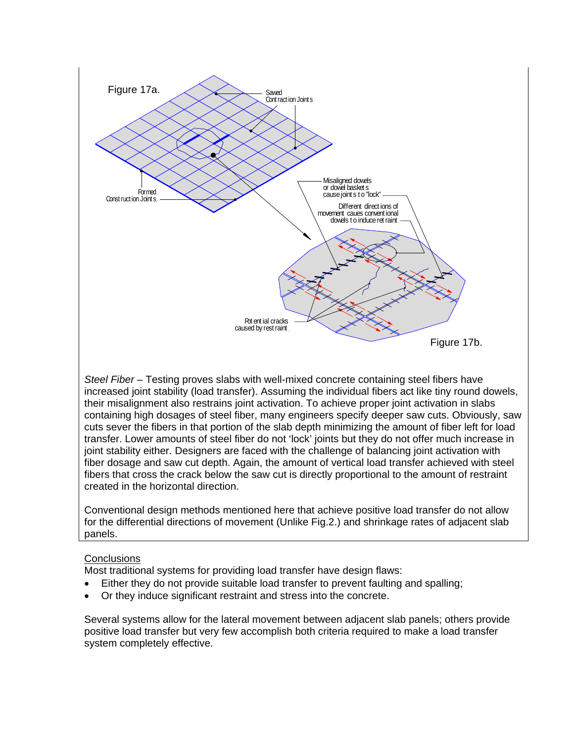

*Steel Fiber –* Testing proves slabs with well-mixed concrete containing steel fibers have increased joint stability (load transfer). Assuming the individual fibers act like tiny round dowels, their misalignment also restrains joint activation. To achieve proper joint activation in slabs containing high dosages of steel fiber, many engineers specify deeper saw cuts. Obviously, saw cuts sever the fibers in that portion of the slab depth minimizing the amount of fiber left for load transfer. Lower amounts of steel fiber do not 'lock' joints but they do not offer much increase in joint stability either. Designers are faced with the challenge of balancing joint activation with fiber dosage and saw cut depth. Again, the amount of vertical load transfer achieved with steel fibers that cross the crack below the saw cut is directly proportional to the amount of restraint created in the horizontal direction.

Conventional design methods mentioned here that achieve positive load transfer do not allow for the differential directions of movement (Unlike Fig.2.) and shrinkage rates of adjacent slab panels.

# **Conclusions**

Most traditional systems for providing load transfer have design flaws:

- Either they do not provide suitable load transfer to prevent faulting and spalling;
- Or they induce significant restraint and stress into the concrete.

Several systems allow for the lateral movement between adjacent slab panels; others provide positive load transfer but very few accomplish both criteria required to make a load transfer system completely effective.